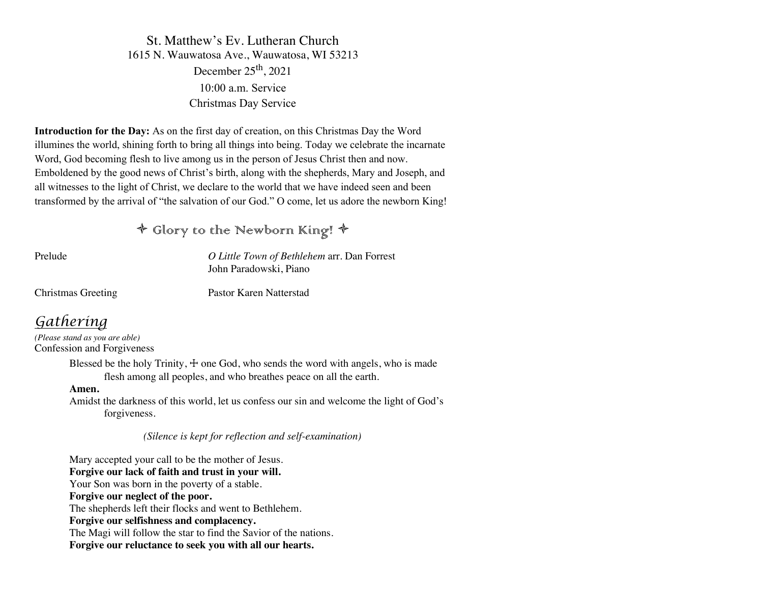St. Matthew's Ev. Lutheran Church 1615 N. Wauwatosa Ave., Wauwatosa, WI 53213 December  $25<sup>th</sup>$ , 2021 10:00 a.m. Service Christmas Day Service

**Introduction for the Day:** As on the first day of creation, on this Christmas Day the Word illumines the world, shining forth to bring all things into being. Today we celebrate the incarnate Word, God becoming flesh to live among us in the person of Jesus Christ then and now. Emboldened by the good news of Christ's birth, along with the shepherds, Mary and Joseph, and all witnesses to the light of Christ, we declare to the world that we have indeed seen and been transformed by the arrival of "the salvation of our God." O come, let us adore the newborn King!

ò Glory to the Newborn King! ò

Prelude *O Little Town of Bethlehem* arr. Dan Forrest John Paradowski, Piano

Christmas Greeting Pastor Karen Natterstad

# *Gathering*

*(Please stand as you are able)* Confession and Forgiveness

> Blessed be the holy Trinity,  $\pm$  one God, who sends the word with angels, who is made flesh among all peoples, and who breathes peace on all the earth.

#### **Amen.**

Amidst the darkness of this world, let us confess our sin and welcome the light of God's forgiveness.

 *(Silence is kept for reflection and self-examination)*

Mary accepted your call to be the mother of Jesus. **Forgive our lack of faith and trust in your will.** Your Son was born in the poverty of a stable. **Forgive our neglect of the poor.** The shepherds left their flocks and went to Bethlehem. **Forgive our selfishness and complacency.** The Magi will follow the star to find the Savior of the nations. **Forgive our reluctance to seek you with all our hearts.**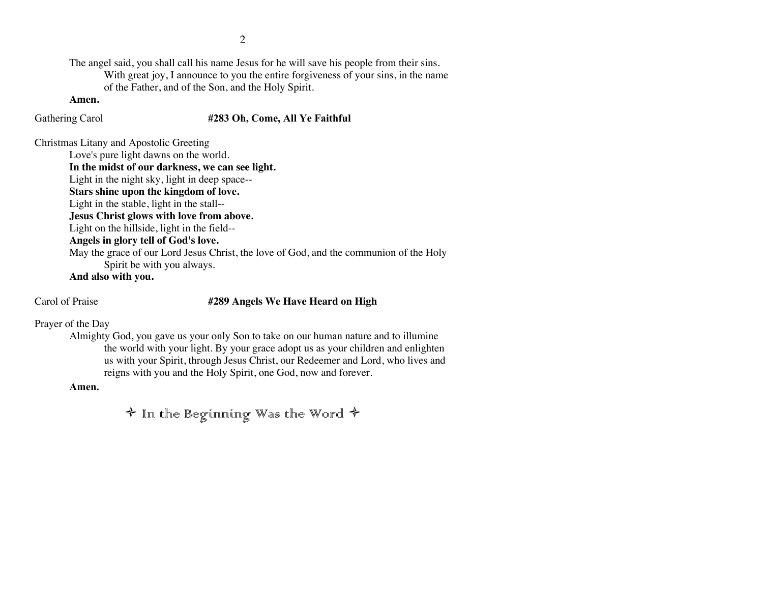The angel said, you shall call his name Jesus for he will save his people from their sins. With great joy, I announce to you the entire forgiveness of your sins, in the name of the Father, and of the Son, and the Holy Spirit.

#### **Amen.**

#### Gathering Carol **#283 Oh, Come, All Ye Faithful**

Christmas Litany and Apostolic Greeting

Love's pure light dawns on the world.

**In the midst of our darkness, we can see light.** Light in the night sky, light in deep space-- **Stars shine upon the kingdom of love.** Light in the stable, light in the stall-- **Jesus Christ glows with love from above.** Light on the hillside, light in the field-- **Angels in glory tell of God's love.** May the grace of our Lord Jesus Christ, the love of God, and the communion of the Holy Spirit be with you always.

**And also with you.**

#### Carol of Praise **#289 Angels We Have Heard on High**

Prayer of the Day

Almighty God, you gave us your only Son to take on our human nature and to illumine the world with your light. By your grace adopt us as your children and enlighten us with your Spirit, through Jesus Christ, our Redeemer and Lord, who lives and reigns with you and the Holy Spirit, one God, now and forever.

**Amen.**

 $\diamondsuit$  In the Beginning Was the Word  $\diamondsuit$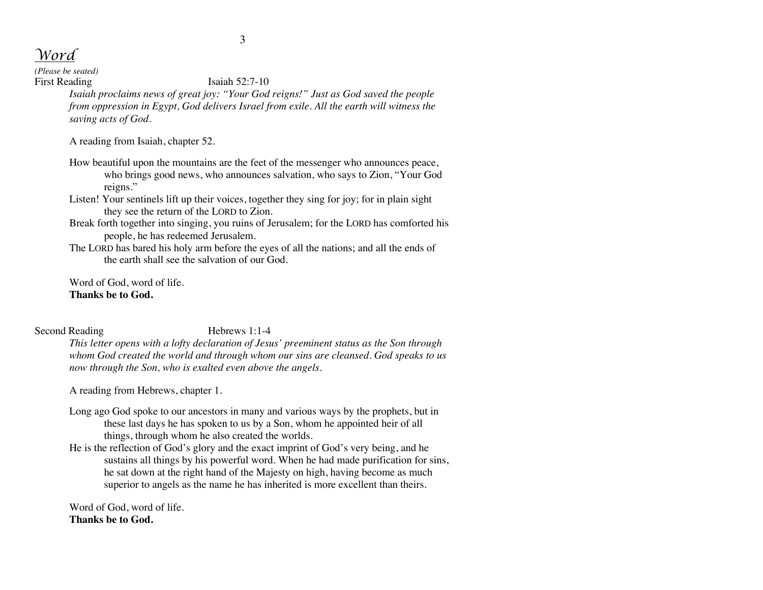*Word*

*(Please be seated)*

First Reading Isaiah 52:7-10

*Isaiah proclaims news of great joy: "Your God reigns!" Just as God saved the people from oppression in Egypt, God delivers Israel from exile. All the earth will witness the saving acts of God.*

A reading from Isaiah, chapter 52.

- How beautiful upon the mountains are the feet of the messenger who announces peace, who brings good news, who announces salvation, who says to Zion, "Your God reigns."
- Listen! Your sentinels lift up their voices, together they sing for joy; for in plain sight they see the return of the LORD to Zion.
- Break forth together into singing, you ruins of Jerusalem; for the LORD has comforted his people, he has redeemed Jerusalem.
- The LORD has bared his holy arm before the eyes of all the nations; and all the ends of the earth shall see the salvation of our God.

Word of God, word of life. **Thanks be to God.**

Second Reading Hebrews 1:1-4

*This letter opens with a lofty declaration of Jesus' preeminent status as the Son through whom God created the world and through whom our sins are cleansed. God speaks to us now through the Son, who is exalted even above the angels.*

A reading from Hebrews, chapter 1.

- Long ago God spoke to our ancestors in many and various ways by the prophets, but in these last days he has spoken to us by a Son, whom he appointed heir of all things, through whom he also created the worlds.
- He is the reflection of God's glory and the exact imprint of God's very being, and he sustains all things by his powerful word. When he had made purification for sins, he sat down at the right hand of the Majesty on high, having become as much superior to angels as the name he has inherited is more excellent than theirs.

Word of God, word of life. **Thanks be to God.**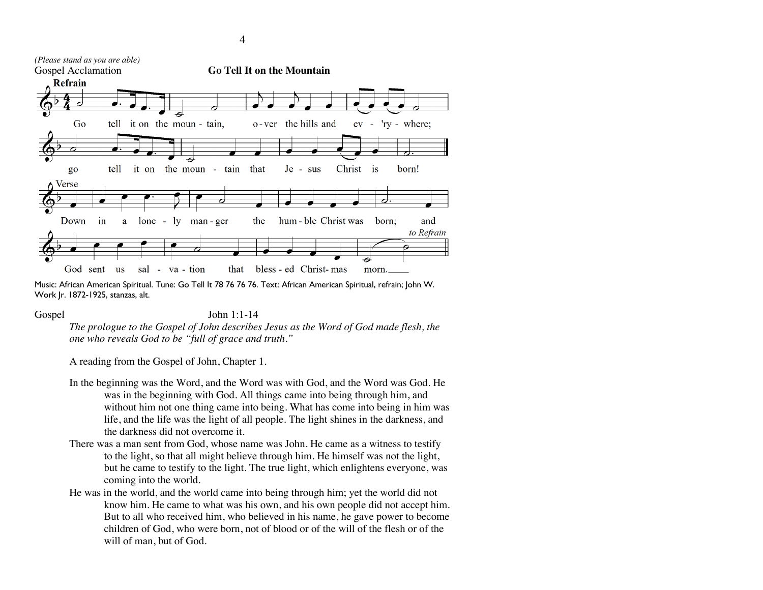

Music: African American Spiritual. Tune: Go Tell It 78 76 76 76. Text: African American Spiritual, refrain; John W. Work Jr. 1872-1925, stanzas, alt.

#### Gospel John 1:1-14

*The prologue to the Gospel of John describes Jesus as the Word of God made flesh, the one who reveals God to be "full of grace and truth."*

A reading from the Gospel of John, Chapter 1.

- In the beginning was the Word, and the Word was with God, and the Word was God. He was in the beginning with God. All things came into being through him, and without him not one thing came into being. What has come into being in him was life, and the life was the light of all people. The light shines in the darkness, and the darkness did not overcome it.
- There was a man sent from God, whose name was John. He came as a witness to testify to the light, so that all might believe through him. He himself was not the light, but he came to testify to the light. The true light, which enlightens everyone, was coming into the world.
- He was in the world, and the world came into being through him; yet the world did not know him. He came to what was his own, and his own people did not accept him. But to all who received him, who believed in his name, he gave power to become children of God, who were born, not of blood or of the will of the flesh or of the will of man, but of God.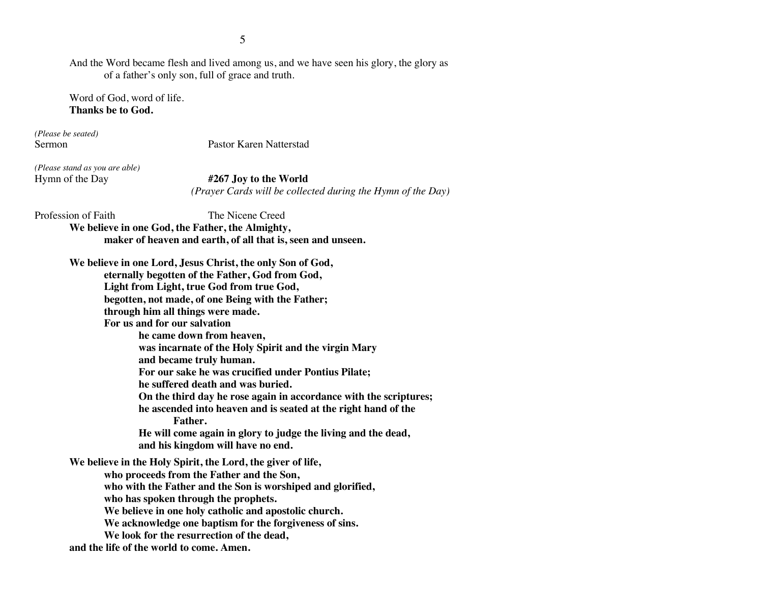And the Word became flesh and lived among us, and we have seen his glory, the glory as of a father's only son, full of grace and truth.

Word of God, word of life. **Thanks be to God.**

*(Please be seated)*

Sermon Pastor Karen Natterstad

*(Please stand as you are able)*

Hymn of the Day **#267 Joy to the World**  *(Prayer Cards will be collected during the Hymn of the Day)*

Profession of Faith The Nicene Creed

**We believe in one God, the Father, the Almighty, maker of heaven and earth, of all that is, seen and unseen.**

**We believe in one Lord, Jesus Christ, the only Son of God, eternally begotten of the Father, God from God, Light from Light, true God from true God, begotten, not made, of one Being with the Father; through him all things were made. For us and for our salvation he came down from heaven, was incarnate of the Holy Spirit and the virgin Mary and became truly human. For our sake he was crucified under Pontius Pilate; he suffered death and was buried. On the third day he rose again in accordance with the scriptures; he ascended into heaven and is seated at the right hand of the Father. He will come again in glory to judge the living and the dead, and his kingdom will have no end. We believe in the Holy Spirit, the Lord, the giver of life, who proceeds from the Father and the Son, who with the Father and the Son is worshiped and glorified, who has spoken through the prophets. We believe in one holy catholic and apostolic church. We acknowledge one baptism for the forgiveness of sins. We look for the resurrection of the dead, and the life of the world to come. Amen.**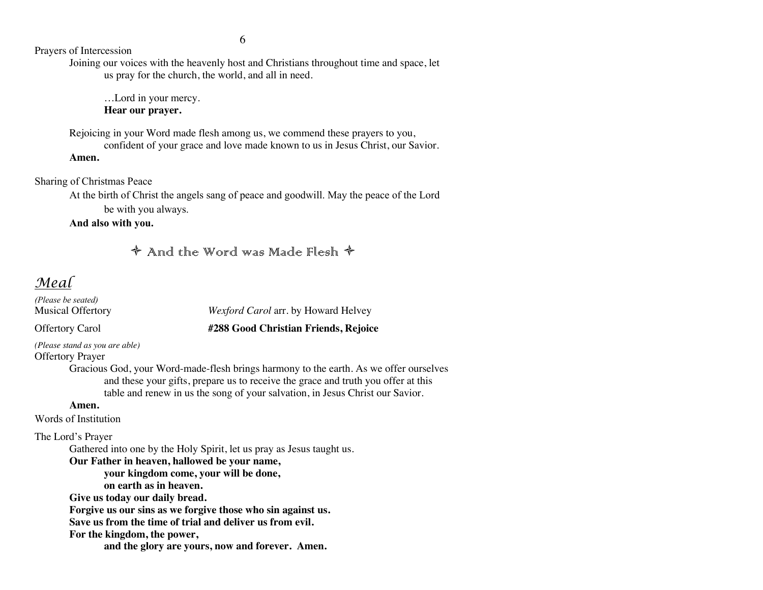6

Prayers of Intercession

Joining our voices with the heavenly host and Christians throughout time and space, let us pray for the church, the world, and all in need.

…Lord in your mercy. **Hear our prayer.**

Rejoicing in your Word made flesh among us, we commend these prayers to you, confident of your grace and love made known to us in Jesus Christ, our Savior.

**Amen.**

Sharing of Christmas Peace

At the birth of Christ the angels sang of peace and goodwill. May the peace of the Lord be with you always.

**And also with you.**

 $\triangle$  And the Word was Made Flesh  $\triangle$ 

# *Meal*

*(Please be seated)* Musical Offertory *Wexford Carol* arr. by Howard Helvey Offertory Carol **#288 Good Christian Friends, Rejoice** *(Please stand as you are able)* Offertory Prayer Gracious God, your Word-made-flesh brings harmony to the earth. As we offer ourselves and these your gifts, prepare us to receive the grace and truth you offer at this table and renew in us the song of your salvation, in Jesus Christ our Savior. **Amen.** Words of Institution The Lord's Prayer Gathered into one by the Holy Spirit, let us pray as Jesus taught us. **Our Father in heaven, hallowed be your name, your kingdom come, your will be done, on earth as in heaven. Give us today our daily bread. Forgive us our sins as we forgive those who sin against us. Save us from the time of trial and deliver us from evil. For the kingdom, the power, and the glory are yours, now and forever. Amen.**